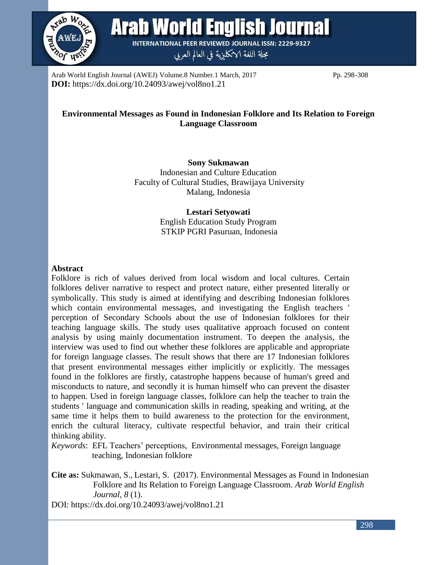

**Arab World English Journal** 

**INTERNATIONAL PEER REVIEWED JOURNAL ISSN: 2229-9327** مجلة اللغة الانكليزية في العالم العربي

Arab World English Journal (AWEJ) Volume.8 Number.1 March, 2017 Pp. 298-308 **DOI:** https://dx.doi.org/10.24093/awej/vol8no1.21

# **Environmental Messages as Found in Indonesian Folklore and Its Relation to Foreign Language Classroom**

**Sony Sukmawan** Indonesian and Culture Education Faculty of Cultural Studies, Brawijaya University Malang, Indonesia

> **Lestari Setyowati** English Education Study Program STKIP PGRI Pasuruan, Indonesia

# **Abstract**

Folklore is rich of values derived from local wisdom and local cultures. Certain folklores deliver narrative to respect and protect nature, either presented literally or symbolically. This study is aimed at identifying and describing Indonesian folklores which contain environmental messages, and investigating the English teachers ' perception of Secondary Schools about the use of Indonesian folklores for their teaching language skills. The study uses qualitative approach focused on content analysis by using mainly documentation instrument. To deepen the analysis, the interview was used to find out whether these folklores are applicable and appropriate for foreign language classes. The result shows that there are 17 Indonesian folklores that present environmental messages either implicitly or explicitly. The messages found in the folklores are firstly, catastrophe happens because of human's greed and misconducts to nature, and secondly it is human himself who can prevent the disaster to happen. Used in foreign language classes, folklore can help the teacher to train the students ' language and communication skills in reading, speaking and writing, at the same time it helps them to build awareness to the protection for the environment, enrich the cultural literacy, cultivate respectful behavior, and train their critical thinking ability.

*Keywords*: EFL Teachers' perceptions, Environmental messages, Foreign language teaching, Indonesian folklore

**Cite as:** Sukmawan, S., Lestari, S. (2017). Environmental Messages as Found in Indonesian Folklore and Its Relation to Foreign Language Classroom. *Arab World English Journal, 8* (1).

DOI: https://dx.doi.org/10.24093/awej/vol8no1.21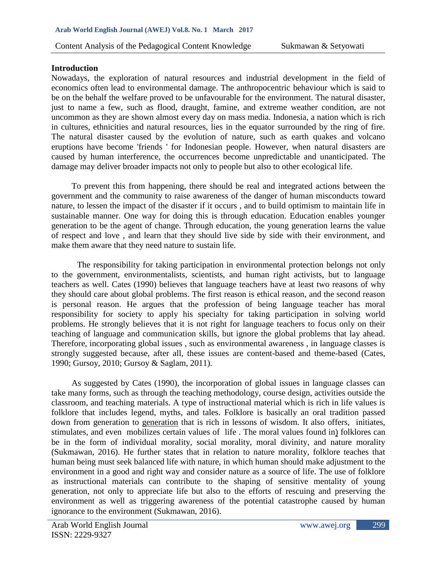### **Introduction**

Nowadays, the exploration of natural resources and industrial development in the field of economics often lead to environmental damage. The anthropocentric behaviour which is said to be on the behalf the welfare proved to be unfavourable for the environment. The natural disaster, just to name a few, such as flood, draught, famine, and extreme weather condition, are not uncommon as they are shown almost every day on mass media. Indonesia, a nation which is rich in cultures, ethnicities and natural resources, lies in the equator surrounded by the ring of fire. The natural disaster caused by the evolution of nature, such as earth quakes and volcano eruptions have become 'friends ' for Indonesian people. However, when natural disasters are caused by human interference, the occurrences become unpredictable and unanticipated. The damage may deliver broader impacts not only to people but also to other ecological life.

To prevent this from happening, there should be real and integrated actions between the government and the community to raise awareness of the danger of human misconducts toward nature, to lessen the impact of the disaster if it occurs , and to build optimism to maintain life in sustainable manner. One way for doing this is through education. Education enables younger generation to be the agent of change. Through education, the young generation learns the value of respect and love , and learn that they should live side by side with their environment, and make them aware that they need nature to sustain life.

The responsibility for taking participation in environmental protection belongs not only to the government, environmentalists, scientists, and human right activists, but to language teachers as well. Cates (1990) believes that language teachers have at least two reasons of why they should care about global problems. The first reason is ethical reason, and the second reason is personal reason. He argues that the profession of being language teacher has moral responsibility for society to apply his specialty for taking participation in solving world problems. He strongly believes that it is not right for language teachers to focus only on their teaching of language and communication skills, but ignore the global problems that lay ahead. Therefore, incorporating global issues , such as environmental awareness , in language classes is strongly suggested because, after all, these issues are content-based and theme-based (Cates, 1990; Gursoy, 2010; Gursoy & Saglam, 2011).

As suggested by Cates (1990), the incorporation of global issues in language classes can take many forms, such as through the teaching methodology, course design, activities outside the classroom, and teaching materials. A type of instructional material which is rich in life values is folklore that includes legend, myths, and tales. Folklore is basically an oral tradition passed down from generation to generation that is rich in lessons of wisdom. It also offers, initiates, stimulates, and even mobilizes certain values of life . The moral values found in) folklores can be in the form of individual morality, social morality, moral divinity, and nature morality (Sukmawan, 2016). He further states that in relation to nature morality, folklore teaches that human being must seek balanced life with nature, in which human should make adjustment to the environment in a good and right way and consider nature as a source of life. The use of folklore as instructional materials can contribute to the shaping of sensitive mentality of young generation, not only to appreciate life but also to the efforts of rescuing and preserving the environment as well as triggering awareness of the potential catastrophe caused by human ignorance to the environment (Sukmawan, 2016).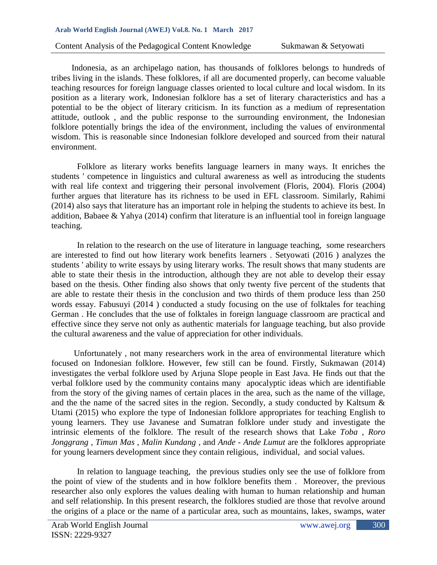Indonesia, as an archipelago nation, has thousands of folklores belongs to hundreds of tribes living in the islands. These folklores, if all are documented properly, can become valuable teaching resources for foreign language classes oriented to local culture and local wisdom. In its position as a literary work, Indonesian folklore has a set of literary characteristics and has a potential to be the object of literary criticism. In its function as a medium of representation attitude, outlook , and the public response to the surrounding environment, the Indonesian folklore potentially brings the idea of the environment, including the values of environmental wisdom. This is reasonable since Indonesian folklore developed and sourced from their natural environment.

Folklore as literary works benefits language learners in many ways. It enriches the students ' competence in linguistics and cultural awareness as well as introducing the students with real life context and triggering their personal involvement (Floris, 2004). Floris (2004) further argues that literature has its richness to be used in EFL classroom. Similarly, Rahimi (2014) also says that literature has an important role in helping the students to achieve its best. In addition, Babaee & Yahya (2014) confirm that literature is an influential tool in foreign language teaching.

In relation to the research on the use of literature in language teaching, some researchers are interested to find out how literary work benefits learners . Setyowati (2016 ) analyzes the students ' ability to write essays by using literary works. The result shows that many students are able to state their thesis in the introduction, although they are not able to develop their essay based on the thesis. Other finding also shows that only twenty five percent of the students that are able to restate their thesis in the conclusion and two thirds of them produce less than 250 words essay. Fabusuyi (2014 ) conducted a study focusing on the use of folktales for teaching German . He concludes that the use of folktales in foreign language classroom are practical and effective since they serve not only as authentic materials for language teaching, but also provide the cultural awareness and the value of appreciation for other individuals.

Unfortunately , not many researchers work in the area of environmental literature which focused on Indonesian folklore. However, few still can be found. Firstly, Sukmawan (2014) investigates the verbal folklore used by Arjuna Slope people in East Java. He finds out that the verbal folklore used by the community contains many apocalyptic ideas which are identifiable from the story of the giving names of certain places in the area, such as the name of the village, and the the name of the sacred sites in the region. Secondly, a study conducted by Kaltsum & Utami (2015) who explore the type of Indonesian folklore appropriates for teaching English to young learners. They use Javanese and Sumatran folklore under study and investigate the intrinsic elements of the folklore. The result of the research shows that Lake *Toba , Roro Jonggrang , Timun Mas , Malin Kundang* , and *Ande - Ande Lumut* are the folklores appropriate for young learners development since they contain religious, individual, and social values.

In relation to language teaching, the previous studies only see the use of folklore from the point of view of the students and in how folklore benefits them . Moreover, the previous researcher also only explores the values dealing with human to human relationship and human and self relationship. In this present research, the folklores studied are those that revolve around the origins of a place or the name of a particular area, such as mountains, lakes, swamps, water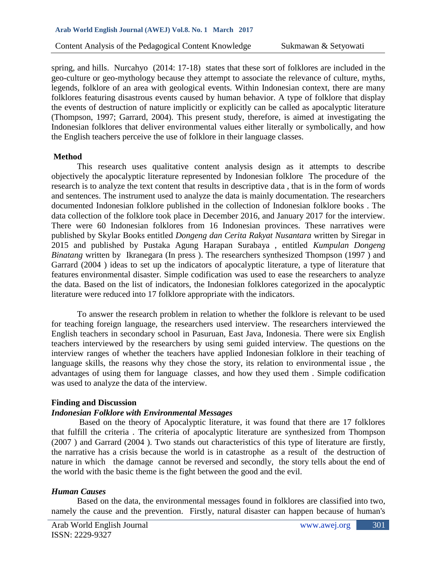spring, and hills. Nurcahyo (2014: 17-18) states that these sort of folklores are included in the geo-culture or geo-mythology because they attempt to associate the relevance of culture, myths, legends, folklore of an area with geological events. Within Indonesian context, there are many folklores featuring disastrous events caused by human behavior. A type of folklore that display the events of destruction of nature implicitly or explicitly can be called as apocalyptic literature (Thompson, 1997; Garrard, 2004). This present study, therefore, is aimed at investigating the Indonesian folklores that deliver environmental values either literally or symbolically, and how the English teachers perceive the use of folklore in their language classes.

### **Method**

This research uses qualitative content analysis design as it attempts to describe objectively the apocalyptic literature represented by Indonesian folklore The procedure of the research is to analyze the text content that results in descriptive data , that is in the form of words and sentences. The instrument used to analyze the data is mainly documentation. The researchers documented Indonesian folklore published in the collection of Indonesian folklore books . The data collection of the folklore took place in December 2016, and January 2017 for the interview. There were 60 Indonesian folklores from 16 Indonesian provinces. These narratives were published by Skylar Books entitled *Dongeng dan Cerita Rakyat Nusantara* written by Siregar in 2015 and published by Pustaka Agung Harapan Surabaya , entitled *Kumpulan Dongeng Binatang* written by Ikranegara (In press). The researchers synthesized Thompson (1997) and Garrard (2004 ) ideas to set up the indicators of apocalyptic literature, a type of literature that features environmental disaster. Simple codification was used to ease the researchers to analyze the data. Based on the list of indicators, the Indonesian folklores categorized in the apocalyptic literature were reduced into 17 folklore appropriate with the indicators.

To answer the research problem in relation to whether the folklore is relevant to be used for teaching foreign language, the researchers used interview. The researchers interviewed the English teachers in secondary school in Pasuruan, East Java, Indonesia. There were six English teachers interviewed by the researchers by using semi guided interview. The questions on the interview ranges of whether the teachers have applied Indonesian folklore in their teaching of language skills, the reasons why they chose the story, its relation to environmental issue, the advantages of using them for language classes, and how they used them . Simple codification was used to analyze the data of the interview.

### **Finding and Discussion**

### *Indonesian Folklore with Environmental Messages*

Based on the theory of Apocalyptic literature, it was found that there are 17 folklores that fulfill the criteria . The criteria of apocalyptic literature are synthesized from Thompson (2007 ) and Garrard (2004 ). Two stands out characteristics of this type of literature are firstly, the narrative has a crisis because the world is in catastrophe as a result of the destruction of nature in which the damage cannot be reversed and secondly, the story tells about the end of the world with the basic theme is the fight between the good and the evil.

# *Human Causes*

Based on the data, the environmental messages found in folklores are classified into two, namely the cause and the prevention. Firstly, natural disaster can happen because of human's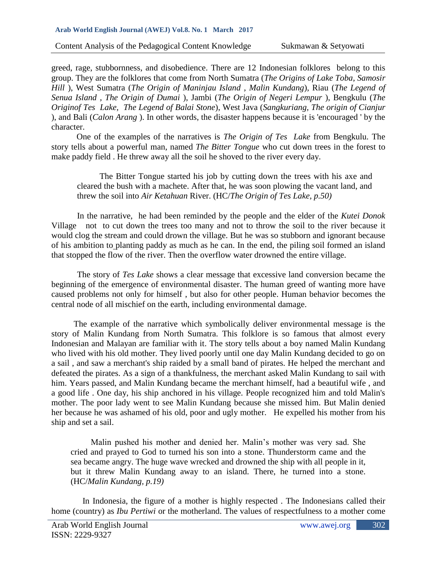#### **Arab World English Journal (AWEJ) Vol.8. No. 1 March 2017**

Content Analysis of the Pedagogical Content Knowledge Sukmawan & Setyowati

greed, rage, stubbornness, and disobedience. There are 12 Indonesian folklores belong to this group. They are the folklores that come from North Sumatra (*The Origins of Lake Toba, Samosir Hill* ), West Sumatra (*The Origin of Maninjau Island , Malin Kundang*), Riau (*The Legend of Senua Island , The Origin of Dumai* ), Jambi (*The Origin of Negeri Lempur* ), Bengkulu (*The Originof Tes Lake, The Legend of Balai Stone*), West Java (*Sangkuriang, The origin of Cianjur* ), and Bali (*Calon Arang* ). In other words, the disaster happens because it is 'encouraged ' by the character.

One of the examples of the narratives is *The Origin of Tes Lake* from Bengkulu. The story tells about a powerful man, named *The Bitter Tongue* who cut down trees in the forest to make paddy field . He threw away all the soil he shoved to the river every day.

The Bitter Tongue started his job by cutting down the trees with his axe and cleared the bush with a machete. After that, he was soon plowing the vacant land, and threw the soil into *Air Ketahuan* River. (HC/*The Origin of Tes Lake, p.50)*

In the narrative, he had been reminded by the people and the elder of the *Kutei Donok* Village not to cut down the trees too many and not to throw the soil to the river because it would clog the stream and could drown the village. But he was so stubborn and ignorant because of his ambition to planting paddy as much as he can. In the end, the piling soil formed an island that stopped the flow of the river. Then the overflow water drowned the entire village.

The story of *Tes Lake* shows a clear message that excessive land conversion became the beginning of the emergence of environmental disaster. The human greed of wanting more have caused problems not only for himself , but also for other people. Human behavior becomes the central node of all mischief on the earth, including environmental damage.

The example of the narrative which symbolically deliver environmental message is the story of Malin Kundang from North Sumatra. This folklore is so famous that almost every Indonesian and Malayan are familiar with it. The story tells about a boy named Malin Kundang who lived with his old mother. They lived poorly until one day Malin Kundang decided to go on a sail , and saw a merchant's ship raided by a small band of pirates. He helped the merchant and defeated the pirates. As a sign of a thankfulness, the merchant asked Malin Kundang to sail with him. Years passed, and Malin Kundang became the merchant himself, had a beautiful wife , and a good life . One day, his ship anchored in his village. People recognized him and told Malin's mother. The poor lady went to see Malin Kundang because she missed him. But Malin denied her because he was ashamed of his old, poor and ugly mother. He expelled his mother from his ship and set a sail.

Malin pushed his mother and denied her. Malin's mother was very sad. She cried and prayed to God to turned his son into a stone. Thunderstorm came and the sea became angry. The huge wave wrecked and drowned the ship with all people in it, but it threw Malin Kundang away to an island. There, he turned into a stone. (HC/*Malin Kundang, p.19)*

In Indonesia, the figure of a mother is highly respected . The Indonesians called their home (country) as *Ibu Pertiwi* or the motherland. The values of respectfulness to a mother come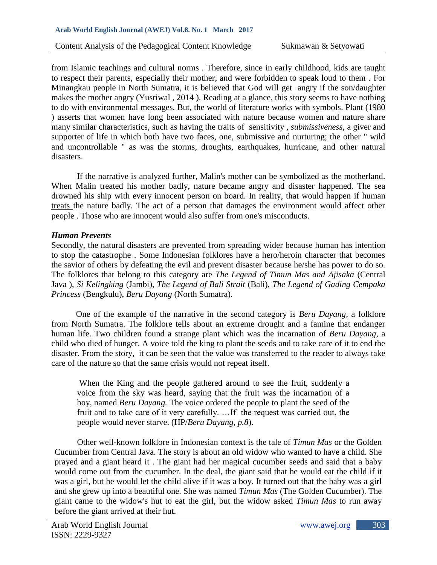from Islamic teachings and cultural norms . Therefore, since in early childhood, kids are taught to respect their parents, especially their mother, and were forbidden to speak loud to them . For Minangkau people in North Sumatra, it is believed that God will get angry if the son/daughter makes the mother angry (Yusriwal , 2014 ). Reading at a glance, this story seems to have nothing to do with environmental messages. But, the world of literature works with symbols. Plant (1980 ) asserts that women have long been associated with nature because women and nature share many similar characteristics, such as having the traits of sensitivity , *submissiveness*, a giver and supporter of life in which both have two faces, one, submissive and nurturing; the other " wild and uncontrollable " as was the storms, droughts, earthquakes, hurricane, and other natural disasters.

If the narrative is analyzed further, Malin's mother can be symbolized as the motherland. When Malin treated his mother badly, nature became angry and disaster happened. The sea drowned his ship with every innocent person on board. In reality, that would happen if human treats the nature badly. The act of a person that damages the environment would affect other people . Those who are innocent would also suffer from one's misconducts.

# *Human Prevents*

Secondly, the natural disasters are prevented from spreading wider because human has intention to stop the catastrophe . Some Indonesian folklores have a hero/heroin character that becomes the savior of others by defeating the evil and prevent disaster because he/she has power to do so. The folklores that belong to this category are *The Legend of Timun Mas and Ajisaka* (Central Java ), *Si Kelingking* (Jambi), *The Legend of Bali Strait* (Bali), *The Legend of Gading Cempaka Princess* (Bengkulu), *Beru Dayang* (North Sumatra).

One of the example of the narrative in the second category is *Beru Dayang*, a folklore from North Sumatra. The folklore tells about an extreme drought and a famine that endanger human life. Two children found a strange plant which was the incarnation of *Beru Dayang*, a child who died of hunger. A voice told the king to plant the seeds and to take care of it to end the disaster. From the story, it can be seen that the value was transferred to the reader to always take care of the nature so that the same crisis would not repeat itself.

When the King and the people gathered around to see the fruit, suddenly a voice from the sky was heard, saying that the fruit was the incarnation of a boy, named *Beru Dayang.* The voice ordered the people to plant the seed of the fruit and to take care of it very carefully. …If the request was carried out, the people would never starve. (HP/*Beru Dayang, p.8*).

Other well-known folklore in Indonesian context is the tale of *Timun Mas* or the Golden Cucumber from Central Java. The story is about an old widow who wanted to have a child. She prayed and a giant heard it . The giant had her magical cucumber seeds and said that a baby would come out from the cucumber. In the deal, the giant said that he would eat the child if it was a girl, but he would let the child alive if it was a boy. It turned out that the baby was a girl and she grew up into a beautiful one. She was named *Timun Mas* (The Golden Cucumber). The giant came to the widow's hut to eat the girl, but the widow asked *Timun Mas* to run away before the giant arrived at their hut.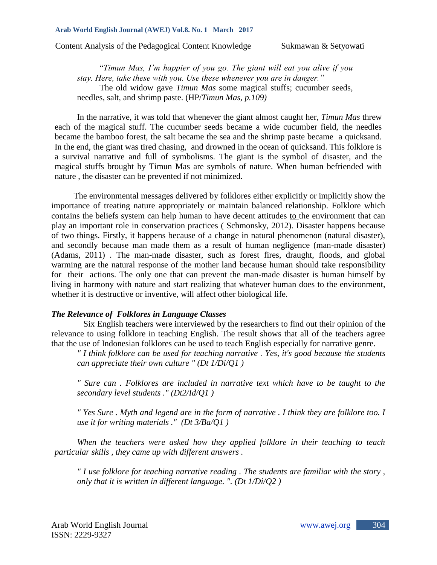"*Timun Mas, I'm happier of you go. The giant will eat you alive if you stay. Here, take these with you. Use these whenever you are in danger."* The old widow gave *Timun Mas* some magical stuffs; cucumber seeds, needles, salt, and shrimp paste. (HP/*Timun Mas, p.109)*

In the narrative, it was told that whenever the giant almost caught her, *Timun Mas* threw each of the magical stuff. The cucumber seeds became a wide cucumber field, the needles became the bamboo forest, the salt became the sea and the shrimp paste became a quicksand. In the end, the giant was tired chasing, and drowned in the ocean of quicksand. This folklore is a survival narrative and full of symbolisms. The giant is the symbol of disaster, and the magical stuffs brought by Timun Mas are symbols of nature. When human befriended with nature , the disaster can be prevented if not minimized.

The environmental messages delivered by folklores either explicitly or implicitly show the importance of treating nature appropriately or maintain balanced relationship. Folklore which contains the beliefs system can help human to have decent attitudes to the environment that can play an important role in conservation practices ( Schmonsky, 2012). Disaster happens because of two things. Firstly, it happens because of a change in natural phenomenon (natural disaster), and secondly because man made them as a result of human negligence (man-made disaster) (Adams, 2011) . The man-made disaster, such as forest fires, draught, floods, and global warming are the natural response of the mother land because human should take responsibility for their actions. The only one that can prevent the man-made disaster is human himself by living in harmony with nature and start realizing that whatever human does to the environment, whether it is destructive or inventive, will affect other biological life.

# *The Relevance of Folklores in Language Classes*

Six English teachers were interviewed by the researchers to find out their opinion of the relevance to using folklore in teaching English. The result shows that all of the teachers agree that the use of Indonesian folklores can be used to teach English especially for narrative genre.

*" I think folklore can be used for teaching narrative . Yes, it's good because the students can appreciate their own culture " (Dt 1/Di/Q1 )* 

*" Sure can . Folklores are included in narrative text which have to be taught to the secondary level students ." (Dt2/Id/Q1 )* 

*" Yes Sure . Myth and legend are in the form of narrative . I think they are folklore too. I use it for writing materials ." (Dt 3/Ba/Q1 )* 

*When the teachers were asked how they applied folklore in their teaching to teach particular skills , they came up with different answers .*

*" I use folklore for teaching narrative reading . The students are familiar with the story , only that it is written in different language. ". (Dt 1/Di/Q2 )*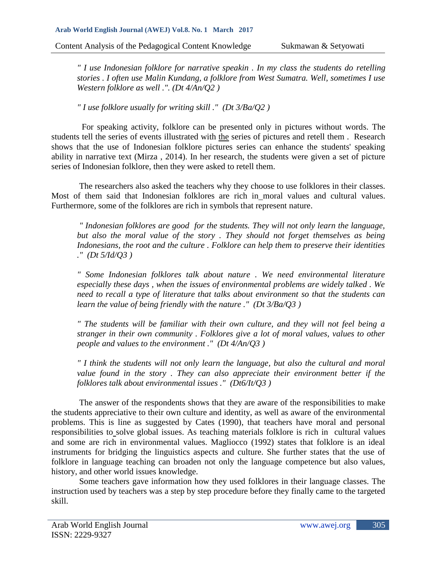*" I use Indonesian folklore for narrative speakin . In my class the students do retelling stories . I often use Malin Kundang, a folklore from West Sumatra. Well, sometimes I use Western folklore as well .". (Dt 4/An/Q2 )* 

*" I use folklore usually for writing skill ." (Dt 3/Ba/Q2 )*

For speaking activity, folklore can be presented only in pictures without words. The students tell the series of events illustrated with the series of pictures and retell them . Research shows that the use of Indonesian folklore pictures series can enhance the students' speaking ability in narrative text (Mirza , 2014). In her research, the students were given a set of picture series of Indonesian folklore, then they were asked to retell them.

The researchers also asked the teachers why they choose to use folklores in their classes. Most of them said that Indonesian folklores are rich in moral values and cultural values. Furthermore, some of the folklores are rich in symbols that represent nature.

*" Indonesian folklores are good for the students. They will not only learn the language, but also the moral value of the story . They should not forget themselves as being Indonesians, the root and the culture . Folklore can help them to preserve their identities ." (Dt 5/Id/Q3 )*

*" Some Indonesian folklores talk about nature . We need environmental literature especially these days , when the issues of environmental problems are widely talked . We need to recall a type of literature that talks about environment so that the students can learn the value of being friendly with the nature ." (Dt 3/Ba/Q3 )* 

*" The students will be familiar with their own culture, and they will not feel being a stranger in their own community . Folklores give a lot of moral values, values to other people and values to the environment ." (Dt 4/An/Q3 )* 

*" I think the students will not only learn the language, but also the cultural and moral value found in the story . They can also appreciate their environment better if the folklores talk about environmental issues ." (Dt6/It/Q3 )*

The answer of the respondents shows that they are aware of the responsibilities to make the students appreciative to their own culture and identity, as well as aware of the environmental problems. This is line as suggested by Cates (1990), that teachers have moral and personal responsibilities to solve global issues. As teaching materials folklore is rich in cultural values and some are rich in environmental values. Magliocco (1992) states that folklore is an ideal instruments for bridging the linguistics aspects and culture. She further states that the use of folklore in language teaching can broaden not only the language competence but also values, history, and other world issues knowledge.

Some teachers gave information how they used folklores in their language classes. The instruction used by teachers was a step by step procedure before they finally came to the targeted skill.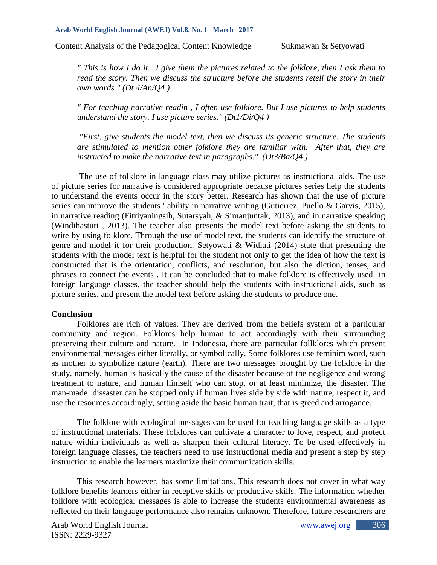*" This is how I do it. I give them the pictures related to the folklore, then I ask them to read the story. Then we discuss the structure before the students retell the story in their own words " (Dt 4/An/Q4 )* 

*" For teaching narrative readin , I often use folklore. But I use pictures to help students understand the story. I use picture series." (Dt1/Di/Q4 )*

*"First, give students the model text, then we discuss its generic structure. The students are stimulated to mention other folklore they are familiar with. After that, they are instructed to make the narrative text in paragraphs." (Dt3/Ba/Q4 )*

The use of folklore in language class may utilize pictures as instructional aids. The use of picture series for narrative is considered appropriate because pictures series help the students to understand the events occur in the story better. Research has shown that the use of picture series can improve the students ' ability in narrative writing (Gutierrez, Puello & Garvis, 2015), in narrative reading (Fitriyaningsih, Sutarsyah, & Simanjuntak, 2013), and in narrative speaking (Windihastuti , 2013). The teacher also presents the model text before asking the students to write by using folklore. Through the use of model text, the students can identify the structure of genre and model it for their production. Setyowati & Widiati (2014) state that presenting the students with the model text is helpful for the student not only to get the idea of how the text is constructed that is the orientation, conflicts, and resolution, but also the diction, tenses, and phrases to connect the events . It can be concluded that to make folklore is effectively used in foreign language classes, the teacher should help the students with instructional aids, such as picture series, and present the model text before asking the students to produce one.

# **Conclusion**

Folklores are rich of values. They are derived from the beliefs system of a particular community and region. Folklores help human to act accordingly with their surrounding preserving their culture and nature. In Indonesia, there are particular follklores which present environmental messages either literally, or symbolically. Some folklores use feminim word, such as mother to symbolize nature (earth). There are two messages brought by the folklore in the study, namely, human is basically the cause of the disaster because of the negligence and wrong treatment to nature, and human himself who can stop, or at least minimize, the disaster. The man-made dissaster can be stopped only if human lives side by side with nature, respect it, and use the resources accordingly, setting aside the basic human trait, that is greed and arrogance.

The folklore with ecological messages can be used for teaching language skills as a type of instructional materials. These folklores can cultivate a character to love, respect, and protect nature within individuals as well as sharpen their cultural literacy. To be used effectively in foreign language classes, the teachers need to use instructional media and present a step by step instruction to enable the learners maximize their communication skills.

This research however, has some limitations. This research does not cover in what way folklore benefits learners either in receptive skills or productive skills. The information whether folklore with ecological messages is able to increase the students environmental awareness as reflected on their language performance also remains unknown. Therefore, future researchers are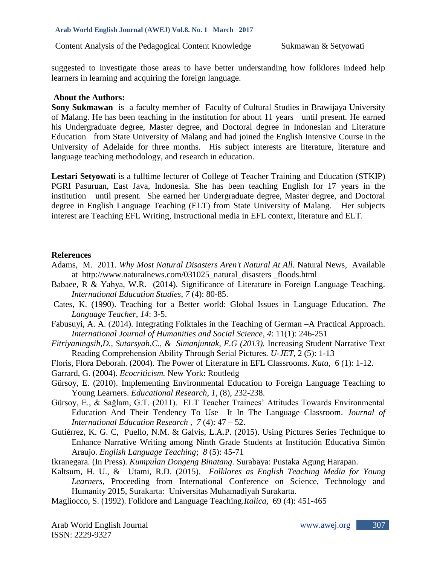suggested to investigate those areas to have better understanding how folklores indeed help learners in learning and acquiring the foreign language.

### **About the Authors:**

**Sony Sukmawan** is a faculty member of Faculty of Cultural Studies in Brawijaya University of Malang. He has been teaching in the institution for about 11 years until present. He earned his Undergraduate degree, Master degree, and Doctoral degree in Indonesian and Literature Education from State University of Malang and had joined the English Intensive Course in the University of Adelaide for three months. His subject interests are literature, literature and language teaching methodology, and research in education.

**Lestari Setyowati** is a fulltime lecturer of College of Teacher Training and Education (STKIP) PGRI Pasuruan, East Java, Indonesia. She has been teaching English for 17 years in the institution until present. She earned her Undergraduate degree, Master degree, and Doctoral degree in English Language Teaching (ELT) from State University of Malang. Her subjects interest are Teaching EFL Writing, Instructional media in EFL context, literature and ELT.

# **References**

- Adams, [M.](https://plus.google.com/u/0/108002809946749848449?rel=author) 2011. *Why Most Natural Disasters Aren't Natural At All.* Natural News, Available at [http://www.naturalnews.com/031025\\_natural\\_disasters \\_floods.html](http://www.naturalnews.com/031025_natural_disasters%20_floods.html)
- Babaee, R & Yahya, W.R. (2014). Significance of Literature in Foreign Language Teaching. *International Education Studies*, *7* (4): 80-85.
- Cates, K. (1990). Teaching for a Better world: Global Issues in Language Education*. The Language Teacher, 14*: 3-5.
- Fabusuyi, A. A. (2014). Integrating Folktales in the Teaching of German –A Practical Approach. *International Journal of Humanities and Social Science*, *4*: 11(1): 246-251
- *Fitriyaningsih,D., Sutarsyah,C., & Simanjuntak, E.G (2013).* Increasing Student Narrative Text Reading Comprehension Ability Through Serial Pictures*. U-JET*, 2 (5): 1-13
- Floris, Flora Deborah. (2004). The Power of Literature in EFL Classrooms. *Kata,* 6 (1): 1-12.
- Garrard, G. (2004). *Ecocriticism.* New York: Routledg
- Gürsoy, E. (2010). Implementing Environmental Education to Foreign Language Teaching to Young Learners. *Educational Research, 1,* (8), 232-238.
- Gürsoy, E., & Sağlam, G.T. (2011). ELT Teacher Trainees' Attitudes Towards Environmental Education And Their Tendency To Use It In The Language Classroom. *Journal of International Education Research* , *7* (4): 47 – 52.
- Gutiérrez, K. G. C, Puello, N.M. & Galvis, L.A.P. (2015). Using Pictures Series Technique to Enhance Narrative Writing among Ninth Grade Students at Institución Educativa Simón Araujo. *English Language Teaching*; *8* (5): 45-71
- Ikranegara. (In Press). *Kumpulan Dongeng Binatang.* Surabaya: Pustaka Agung Harapan.
- Kaltsum, H. U., & Utami, R.D. (2015). *Folklores as English Teaching Media for Young Learners,* Proceeding from International Conference on Science, Technology and Humanity 2015, Surakarta: Universitas Muhamadiyah Surakarta.
- Magliocco, S. (1992). Folklore and Language Teaching.*Italica,* 69 (4): 451-465